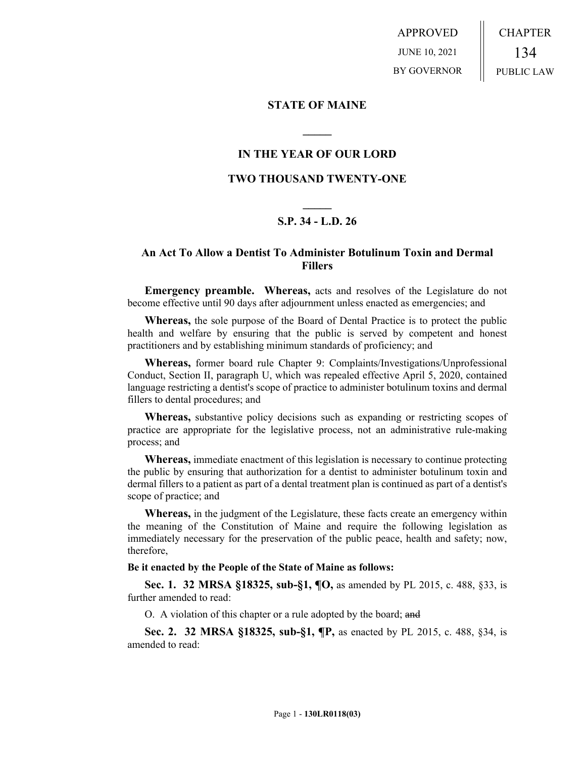APPROVED JUNE 10, 2021 BY GOVERNOR CHAPTER 134 PUBLIC LAW

#### **STATE OF MAINE**

## **IN THE YEAR OF OUR LORD**

**\_\_\_\_\_**

## **TWO THOUSAND TWENTY-ONE**

# **\_\_\_\_\_ S.P. 34 - L.D. 26**

# **An Act To Allow a Dentist To Administer Botulinum Toxin and Dermal Fillers**

**Emergency preamble. Whereas,** acts and resolves of the Legislature do not become effective until 90 days after adjournment unless enacted as emergencies; and

**Whereas,** the sole purpose of the Board of Dental Practice is to protect the public health and welfare by ensuring that the public is served by competent and honest practitioners and by establishing minimum standards of proficiency; and

**Whereas,** former board rule Chapter 9: Complaints/Investigations/Unprofessional Conduct, Section II, paragraph U, which was repealed effective April 5, 2020, contained language restricting a dentist's scope of practice to administer botulinum toxins and dermal fillers to dental procedures; and

**Whereas,** substantive policy decisions such as expanding or restricting scopes of practice are appropriate for the legislative process, not an administrative rule-making process; and

**Whereas,** immediate enactment of this legislation is necessary to continue protecting the public by ensuring that authorization for a dentist to administer botulinum toxin and dermal fillers to a patient as part of a dental treatment plan is continued as part of a dentist's scope of practice; and

**Whereas,** in the judgment of the Legislature, these facts create an emergency within the meaning of the Constitution of Maine and require the following legislation as immediately necessary for the preservation of the public peace, health and safety; now, therefore,

#### **Be it enacted by the People of the State of Maine as follows:**

**Sec. 1. 32 MRSA §18325, sub-§1, ¶O,** as amended by PL 2015, c. 488, §33, is further amended to read:

O. A violation of this chapter or a rule adopted by the board; and

**Sec. 2. 32 MRSA §18325, sub-§1, ¶P,** as enacted by PL 2015, c. 488, §34, is amended to read: